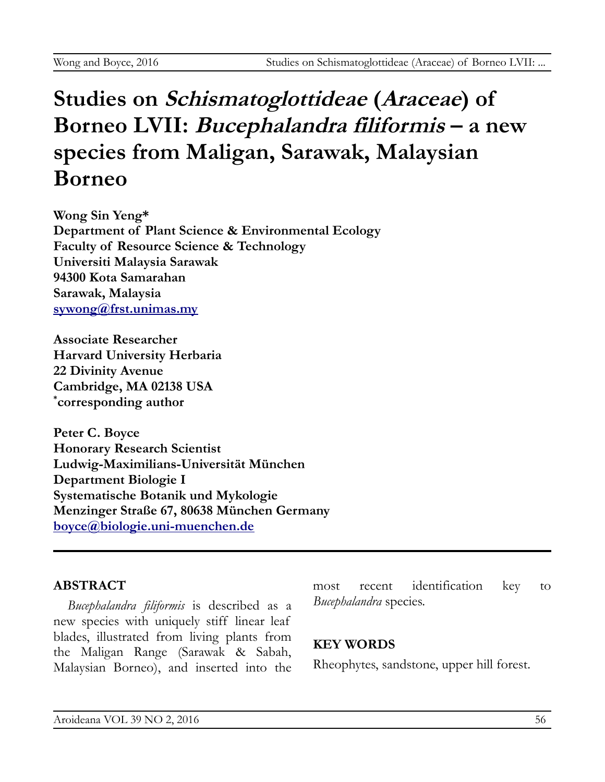# **Studies on Schismatoglottideae (Araceae) of Borneo LVII: Bucephalandra filiformis – a new species from Maligan, Sarawak, Malaysian Borneo**

**Wong Sin Yeng\* Department of Plant Science & Environmental Ecology Faculty of Resource Science & Technology Universiti Malaysia Sarawak 94300 Kota Samarahan Sarawak, Malaysia [sywong@frst.unimas.my](mailto:sywong@frst.unimas.my)**

**Associate Researcher Harvard University Herbaria 22 Divinity Avenue Cambridge, MA 02138 USA \* corresponding author**

**Peter C. Boyce Honorary Research Scientist Ludwig-Maximilians-Universität München Department Biologie I Systematische Botanik und Mykologie Menzinger Straße 67, 80638 München Germany [boyce@biologie.uni-muenchen.de](mailto:boyce@biologie.uni-muenchen.de)**

# **ABSTRACT**

*Bucephalandra filiformis* is described as a new species with uniquely stiff linear leaf blades, illustrated from living plants from the Maligan Range (Sarawak & Sabah, Malaysian Borneo), and inserted into the most recent identification key to *Bucephalandra* species.

# **KEY WORDS**

Rheophytes, sandstone, upper hill forest.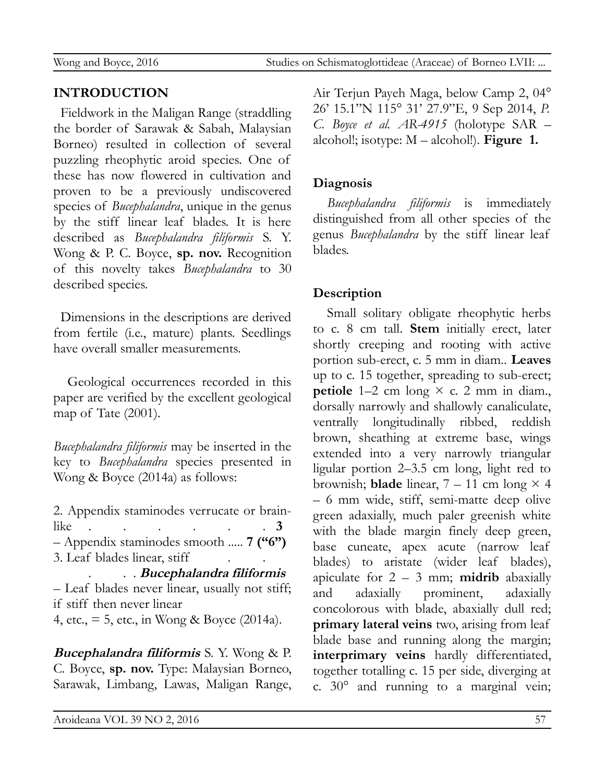# **INTRODUCTION**

Fieldwork in the Maligan Range (straddling the border of Sarawak & Sabah, Malaysian Borneo) resulted in collection of several puzzling rheophytic aroid species. One of these has now flowered in cultivation and proven to be a previously undiscovered species of *Bucephalandra*, unique in the genus by the stiff linear leaf blades. It is here described as *Bucephalandra filiformis* S. Y. Wong & P. C. Boyce, **sp. nov.** Recognition of this novelty takes *Bucephalandra* to 30 described species.

Dimensions in the descriptions are derived from fertile (i.e., mature) plants. Seedlings have overall smaller measurements.

Geological occurrences recorded in this paper are verified by the excellent geological map of Tate (2001).

*Bucephalandra filiformis* may be inserted in the key to *Bucephalandra* species presented in Wong & Boyce (2014a) as follows:

2. Appendix staminodes verrucate or brainlike . . . . . . **3** – Appendix staminodes smooth ..... **7 ("6")** 3. Leaf blades linear, stiff . . . **Bucephalandra filiformis** – Leaf blades never linear, usually not stiff; if stiff then never linear 4, etc.,  $= 5$ , etc., in Wong & Boyce (2014a).

**Bucephalandra filiformis** S. Y. Wong & P. C. Boyce, **sp. nov.** Type: Malaysian Borneo, Sarawak, Limbang, Lawas, Maligan Range, Air Terjun Payeh Maga, below Camp 2, 04° 26' 15.1"N 115° 31' 27.9"E, 9 Sep 2014, *P. C. Boyce et al. AR-4915* (holotype SAR – alcohol!; isotype: M – alcohol!). **Figure 1.**

#### **Diagnosis**

*Bucephalandra filiformis* is immediately distinguished from all other species of the genus *Bucephalandra* by the stiff linear leaf blades.

# **Description**

Small solitary obligate rheophytic herbs to c. 8 cm tall. **Stem** initially erect, later shortly creeping and rooting with active portion sub-erect, c. 5 mm in diam.. **Leaves** up to c. 15 together, spreading to sub-erect; **petiole**  $1-2$  cm long  $\times$  c. 2 mm in diam. dorsally narrowly and shallowly canaliculate, ventrally longitudinally ribbed, reddish brown, sheathing at extreme base, wings extended into a very narrowly triangular ligular portion 2–3.5 cm long, light red to brownish; **blade** linear,  $7 - 11$  cm long  $\times$  4 – 6 mm wide, stiff, semi-matte deep olive green adaxially, much paler greenish white with the blade margin finely deep green, base cuneate, apex acute (narrow leaf blades) to aristate (wider leaf blades), apiculate for 2 – 3 mm; **midrib** abaxially and adaxially prominent, adaxially concolorous with blade, abaxially dull red; **primary lateral veins** two, arising from leaf blade base and running along the margin; **interprimary veins** hardly differentiated, together totalling c. 15 per side, diverging at c. 30° and running to a marginal vein;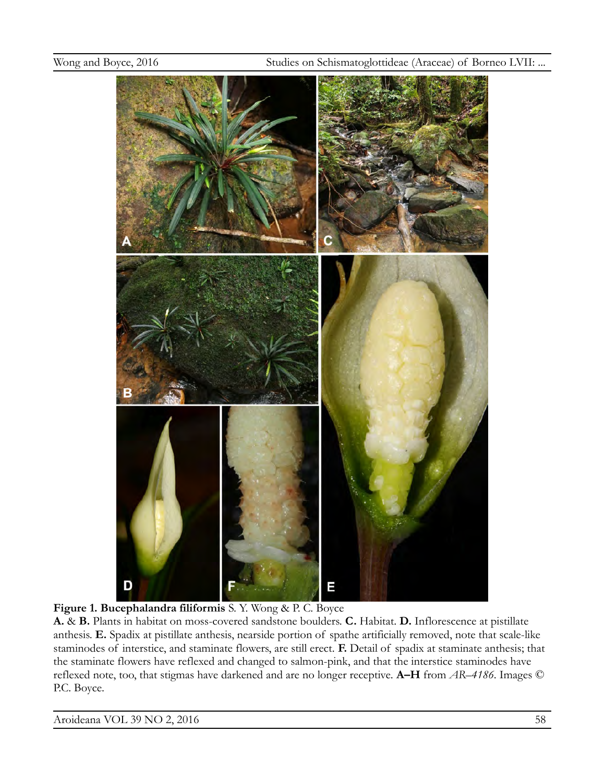

**Figure 1. Bucephalandra filiformis** S. Y. Wong & P. C. Boyce

**A.** & **B.** Plants in habitat on moss-covered sandstone boulders. **C.** Habitat. **D.** Inflorescence at pistillate anthesis. **E.** Spadix at pistillate anthesis, nearside portion of spathe artificially removed, note that scale-like staminodes of interstice, and staminate flowers, are still erect. **F.** Detail of spadix at staminate anthesis; that the staminate flowers have reflexed and changed to salmon-pink, and that the interstice staminodes have reflexed note, too, that stigmas have darkened and are no longer receptive. **A–H** from *AR–4186*. Images © P.C. Boyce.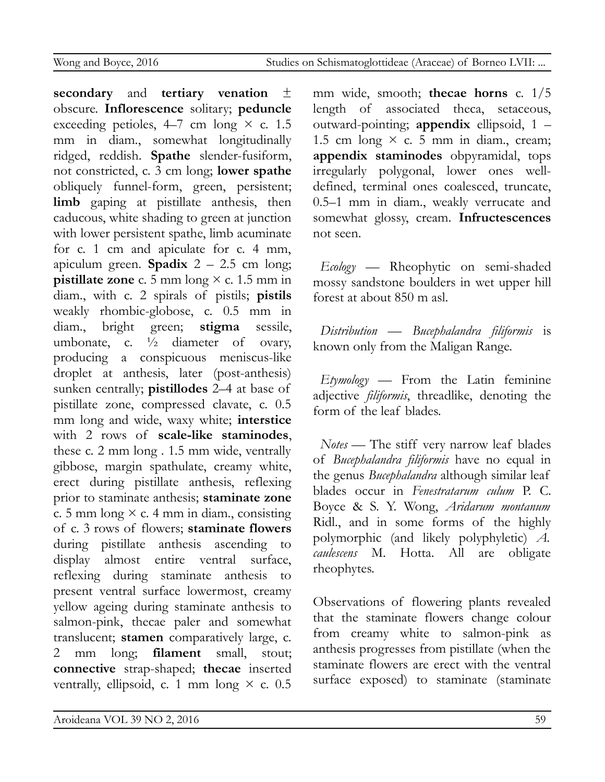**secondary** and **tertiary venation** ± obscure. **Inflorescence** solitary; **peduncle** exceeding petioles,  $4-7$  cm long  $\times$  c. 1.5 mm in diam., somewhat longitudinally ridged, reddish. **Spathe** slender-fusiform, not constricted, c. 3 cm long; **lower spathe** obliquely funnel-form, green, persistent; limb gaping at pistillate anthesis, then caducous, white shading to green at junction with lower persistent spathe, limb acuminate for c. 1 cm and apiculate for c. 4 mm, apiculum green. **Spadix** 2 – 2.5 cm long; **pistillate zone** c. 5 mm long × c. 1.5 mm in diam., with c. 2 spirals of pistils; **pistils** weakly rhombic-globose, c. 0.5 mm in diam., bright green; **stigma** sessile, umbonate, c.  $\frac{1}{2}$  diameter of ovary, producing a conspicuous meniscus-like droplet at anthesis, later (post-anthesis) sunken centrally; **pistillodes** 2–4 at base of pistillate zone, compressed clavate, c. 0.5 mm long and wide, waxy white; **interstice** with 2 rows of **scale-like staminodes**, these c. 2 mm long . 1.5 mm wide, ventrally gibbose, margin spathulate, creamy white, erect during pistillate anthesis, reflexing prior to staminate anthesis; **staminate zone** c. 5 mm long  $\times$  c. 4 mm in diam., consisting of c. 3 rows of flowers; **staminate flowers** during pistillate anthesis ascending to display almost entire ventral surface, reflexing during staminate anthesis to present ventral surface lowermost, creamy yellow ageing during staminate anthesis to salmon-pink, thecae paler and somewhat translucent; **stamen** comparatively large, c. 2 mm long; **filament** small, stout; **connective** strap-shaped; **thecae** inserted ventrally, ellipsoid, c. 1 mm long  $\times$  c. 0.5 mm wide, smooth; **thecae horns** c. 1/5 length of associated theca, setaceous, outward-pointing; **appendix** ellipsoid, 1 – 1.5 cm long  $\times$  c. 5 mm in diam., cream; **appendix staminodes** obpyramidal, tops irregularly polygonal, lower ones welldefined, terminal ones coalesced, truncate, 0.5–1 mm in diam., weakly verrucate and somewhat glossy, cream. **Infructescences** not seen.

*Ecology* — Rheophytic on semi-shaded mossy sandstone boulders in wet upper hill forest at about 850 m asl.

*Distribution* — *Bucephalandra filiformis* is known only from the Maligan Range.

*Etymology* — From the Latin feminine adjective *filiformis*, threadlike, denoting the form of the leaf blades.

*Notes* — The stiff very narrow leaf blades of *Bucephalandra filiformis* have no equal in the genus *Bucephalandra* although similar leaf blades occur in *Fenestratarum culum* P. C. Boyce & S. Y. Wong, *Aridarum montanum* Ridl., and in some forms of the highly polymorphic (and likely polyphyletic) *A. caulescens* M. Hotta. All are obligate rheophytes.

Observations of flowering plants revealed that the staminate flowers change colour from creamy white to salmon-pink as anthesis progresses from pistillate (when the staminate flowers are erect with the ventral surface exposed) to staminate (staminate